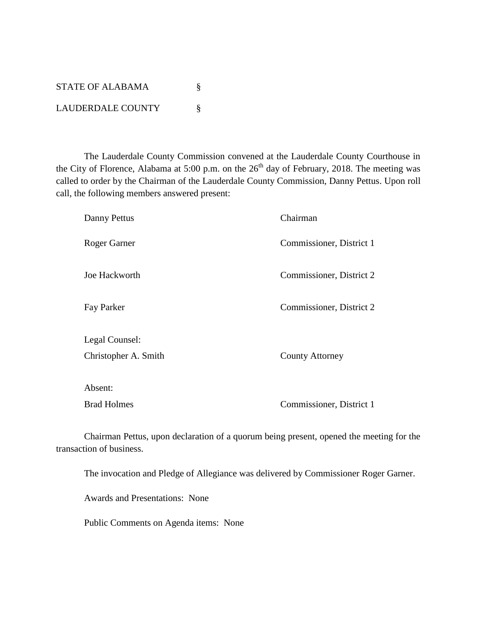| STATE OF ALABAMA         |  |
|--------------------------|--|
| <b>LAUDERDALE COUNTY</b> |  |

The Lauderdale County Commission convened at the Lauderdale County Courthouse in the City of Florence, Alabama at 5:00 p.m. on the  $26<sup>th</sup>$  day of February, 2018. The meeting was called to order by the Chairman of the Lauderdale County Commission, Danny Pettus. Upon roll call, the following members answered present:

| Danny Pettus         | Chairman                 |
|----------------------|--------------------------|
| Roger Garner         | Commissioner, District 1 |
| Joe Hackworth        | Commissioner, District 2 |
| Fay Parker           | Commissioner, District 2 |
| Legal Counsel:       |                          |
| Christopher A. Smith | <b>County Attorney</b>   |
| Absent:              |                          |
| <b>Brad Holmes</b>   | Commissioner, District 1 |

Chairman Pettus, upon declaration of a quorum being present, opened the meeting for the transaction of business.

The invocation and Pledge of Allegiance was delivered by Commissioner Roger Garner.

Awards and Presentations: None

Public Comments on Agenda items: None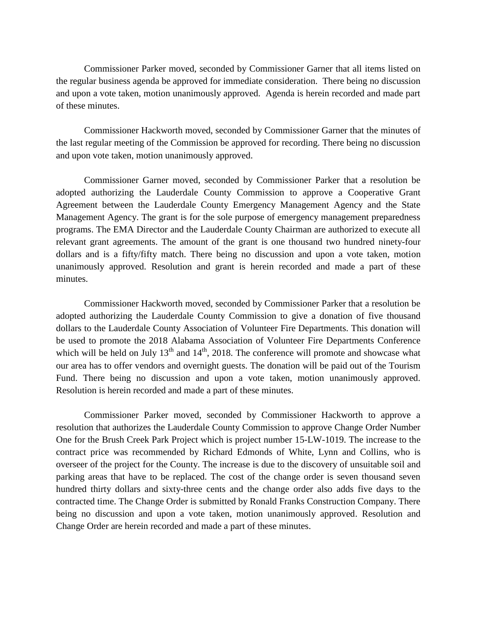Commissioner Parker moved, seconded by Commissioner Garner that all items listed on the regular business agenda be approved for immediate consideration. There being no discussion and upon a vote taken, motion unanimously approved. Agenda is herein recorded and made part of these minutes.

Commissioner Hackworth moved, seconded by Commissioner Garner that the minutes of the last regular meeting of the Commission be approved for recording. There being no discussion and upon vote taken, motion unanimously approved.

Commissioner Garner moved, seconded by Commissioner Parker that a resolution be adopted authorizing the Lauderdale County Commission to approve a Cooperative Grant Agreement between the Lauderdale County Emergency Management Agency and the State Management Agency. The grant is for the sole purpose of emergency management preparedness programs. The EMA Director and the Lauderdale County Chairman are authorized to execute all relevant grant agreements. The amount of the grant is one thousand two hundred ninety-four dollars and is a fifty/fifty match. There being no discussion and upon a vote taken, motion unanimously approved. Resolution and grant is herein recorded and made a part of these minutes.

Commissioner Hackworth moved, seconded by Commissioner Parker that a resolution be adopted authorizing the Lauderdale County Commission to give a donation of five thousand dollars to the Lauderdale County Association of Volunteer Fire Departments. This donation will be used to promote the 2018 Alabama Association of Volunteer Fire Departments Conference which will be held on July  $13<sup>th</sup>$  and  $14<sup>th</sup>$ , 2018. The conference will promote and showcase what our area has to offer vendors and overnight guests. The donation will be paid out of the Tourism Fund. There being no discussion and upon a vote taken, motion unanimously approved. Resolution is herein recorded and made a part of these minutes.

Commissioner Parker moved, seconded by Commissioner Hackworth to approve a resolution that authorizes the Lauderdale County Commission to approve Change Order Number One for the Brush Creek Park Project which is project number 15-LW-1019. The increase to the contract price was recommended by Richard Edmonds of White, Lynn and Collins, who is overseer of the project for the County. The increase is due to the discovery of unsuitable soil and parking areas that have to be replaced. The cost of the change order is seven thousand seven hundred thirty dollars and sixty-three cents and the change order also adds five days to the contracted time. The Change Order is submitted by Ronald Franks Construction Company. There being no discussion and upon a vote taken, motion unanimously approved. Resolution and Change Order are herein recorded and made a part of these minutes.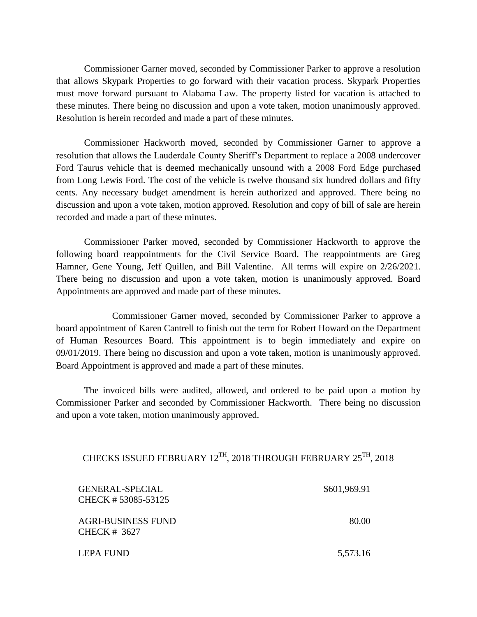Commissioner Garner moved, seconded by Commissioner Parker to approve a resolution that allows Skypark Properties to go forward with their vacation process. Skypark Properties must move forward pursuant to Alabama Law. The property listed for vacation is attached to these minutes. There being no discussion and upon a vote taken, motion unanimously approved. Resolution is herein recorded and made a part of these minutes.

Commissioner Hackworth moved, seconded by Commissioner Garner to approve a resolution that allows the Lauderdale County Sheriff's Department to replace a 2008 undercover Ford Taurus vehicle that is deemed mechanically unsound with a 2008 Ford Edge purchased from Long Lewis Ford. The cost of the vehicle is twelve thousand six hundred dollars and fifty cents. Any necessary budget amendment is herein authorized and approved. There being no discussion and upon a vote taken, motion approved. Resolution and copy of bill of sale are herein recorded and made a part of these minutes.

Commissioner Parker moved, seconded by Commissioner Hackworth to approve the following board reappointments for the Civil Service Board. The reappointments are Greg Hamner, Gene Young, Jeff Quillen, and Bill Valentine. All terms will expire on 2/26/2021. There being no discussion and upon a vote taken, motion is unanimously approved. Board Appointments are approved and made part of these minutes.

Commissioner Garner moved, seconded by Commissioner Parker to approve a board appointment of Karen Cantrell to finish out the term for Robert Howard on the Department of Human Resources Board. This appointment is to begin immediately and expire on 09/01/2019. There being no discussion and upon a vote taken, motion is unanimously approved. Board Appointment is approved and made a part of these minutes.

The invoiced bills were audited, allowed, and ordered to be paid upon a motion by Commissioner Parker and seconded by Commissioner Hackworth. There being no discussion and upon a vote taken, motion unanimously approved.

## CHECKS ISSUED FEBRUARY  $12^{\text{TH}}$ ,  $2018$  THROUGH FEBRUARY  $25^{\text{TH}}$ ,  $2018$

| <b>GENERAL-SPECIAL</b><br>CHECK # 53085-53125 | \$601,969.91 |
|-----------------------------------------------|--------------|
| <b>AGRI-BUSINESS FUND</b><br>CHECK # 3627     | 80.00        |
| LEPA FUND                                     | 5,573.16     |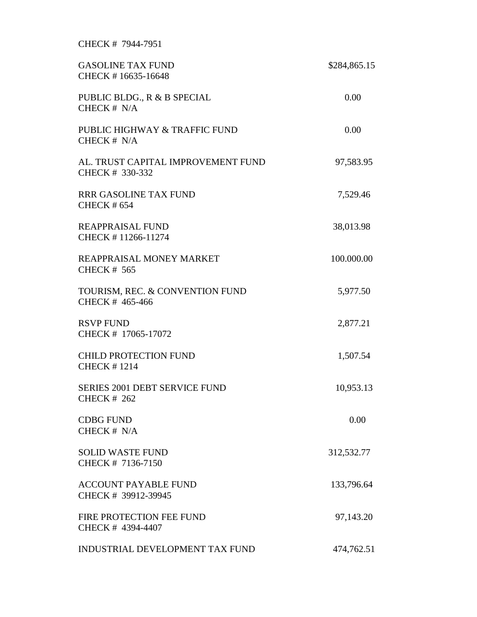## CHECK # 7944-7951

| <b>GASOLINE TAX FUND</b><br>CHECK #16635-16648             | \$284,865.15 |
|------------------------------------------------------------|--------------|
| PUBLIC BLDG., R & B SPECIAL<br>CHECK # N/A                 | 0.00         |
| PUBLIC HIGHWAY & TRAFFIC FUND<br>CHECK # N/A               | 0.00         |
| AL. TRUST CAPITAL IMPROVEMENT FUND<br>CHECK # 330-332      | 97,583.95    |
| <b>RRR GASOLINE TAX FUND</b><br><b>CHECK #654</b>          | 7,529.46     |
| <b>REAPPRAISAL FUND</b><br>CHECK #11266-11274              | 38,013.98    |
| REAPPRAISAL MONEY MARKET<br><b>CHECK # 565</b>             | 100.000.00   |
| TOURISM, REC. & CONVENTION FUND<br>CHECK # 465-466         | 5,977.50     |
| <b>RSVP FUND</b><br>CHECK # 17065-17072                    | 2,877.21     |
| <b>CHILD PROTECTION FUND</b><br><b>CHECK #1214</b>         | 1,507.54     |
| <b>SERIES 2001 DEBT SERVICE FUND</b><br><b>CHECK # 262</b> | 10,953.13    |
| <b>CDBG FUND</b><br>CHECK # N/A                            | 0.00         |
| <b>SOLID WASTE FUND</b><br>CHECK # 7136-7150               | 312,532.77   |
| <b>ACCOUNT PAYABLE FUND</b><br>CHECK # 39912-39945         | 133,796.64   |
| FIRE PROTECTION FEE FUND<br>CHECK # 4394-4407              | 97,143.20    |
| <b>INDUSTRIAL DEVELOPMENT TAX FUND</b>                     | 474,762.51   |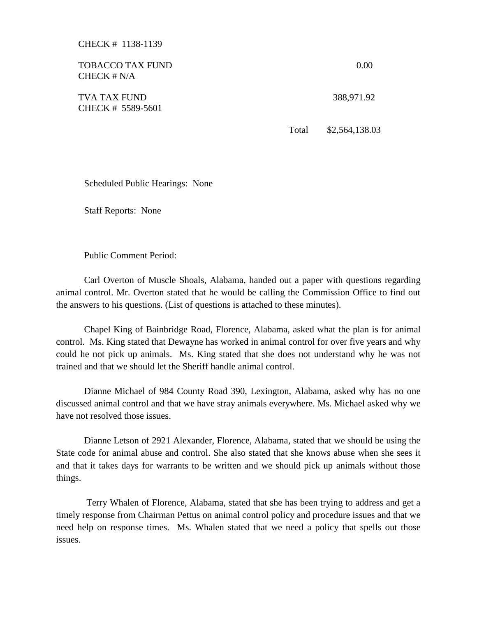CHECK # 1138-1139

| <b>TOBACCO TAX FUND</b><br>CHECK $# N/A$ |       | 0.00           |
|------------------------------------------|-------|----------------|
| <b>TVA TAX FUND</b><br>CHECK # 5589-5601 |       | 388,971.92     |
|                                          | Total | \$2,564,138.03 |

Scheduled Public Hearings: None

Staff Reports: None

Public Comment Period:

Carl Overton of Muscle Shoals, Alabama, handed out a paper with questions regarding animal control. Mr. Overton stated that he would be calling the Commission Office to find out the answers to his questions. (List of questions is attached to these minutes).

Chapel King of Bainbridge Road, Florence, Alabama, asked what the plan is for animal control. Ms. King stated that Dewayne has worked in animal control for over five years and why could he not pick up animals. Ms. King stated that she does not understand why he was not trained and that we should let the Sheriff handle animal control.

Dianne Michael of 984 County Road 390, Lexington, Alabama, asked why has no one discussed animal control and that we have stray animals everywhere. Ms. Michael asked why we have not resolved those issues.

Dianne Letson of 2921 Alexander, Florence, Alabama, stated that we should be using the State code for animal abuse and control. She also stated that she knows abuse when she sees it and that it takes days for warrants to be written and we should pick up animals without those things.

Terry Whalen of Florence, Alabama, stated that she has been trying to address and get a timely response from Chairman Pettus on animal control policy and procedure issues and that we need help on response times. Ms. Whalen stated that we need a policy that spells out those issues.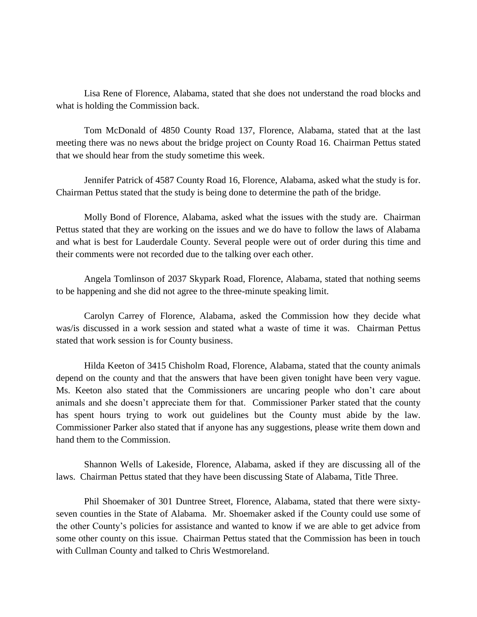Lisa Rene of Florence, Alabama, stated that she does not understand the road blocks and what is holding the Commission back.

Tom McDonald of 4850 County Road 137, Florence, Alabama, stated that at the last meeting there was no news about the bridge project on County Road 16. Chairman Pettus stated that we should hear from the study sometime this week.

Jennifer Patrick of 4587 County Road 16, Florence, Alabama, asked what the study is for. Chairman Pettus stated that the study is being done to determine the path of the bridge.

Molly Bond of Florence, Alabama, asked what the issues with the study are. Chairman Pettus stated that they are working on the issues and we do have to follow the laws of Alabama and what is best for Lauderdale County. Several people were out of order during this time and their comments were not recorded due to the talking over each other.

Angela Tomlinson of 2037 Skypark Road, Florence, Alabama, stated that nothing seems to be happening and she did not agree to the three-minute speaking limit.

Carolyn Carrey of Florence, Alabama, asked the Commission how they decide what was/is discussed in a work session and stated what a waste of time it was. Chairman Pettus stated that work session is for County business.

Hilda Keeton of 3415 Chisholm Road, Florence, Alabama, stated that the county animals depend on the county and that the answers that have been given tonight have been very vague. Ms. Keeton also stated that the Commissioners are uncaring people who don't care about animals and she doesn't appreciate them for that. Commissioner Parker stated that the county has spent hours trying to work out guidelines but the County must abide by the law. Commissioner Parker also stated that if anyone has any suggestions, please write them down and hand them to the Commission.

Shannon Wells of Lakeside, Florence, Alabama, asked if they are discussing all of the laws. Chairman Pettus stated that they have been discussing State of Alabama, Title Three.

Phil Shoemaker of 301 Duntree Street, Florence, Alabama, stated that there were sixtyseven counties in the State of Alabama. Mr. Shoemaker asked if the County could use some of the other County's policies for assistance and wanted to know if we are able to get advice from some other county on this issue. Chairman Pettus stated that the Commission has been in touch with Cullman County and talked to Chris Westmoreland.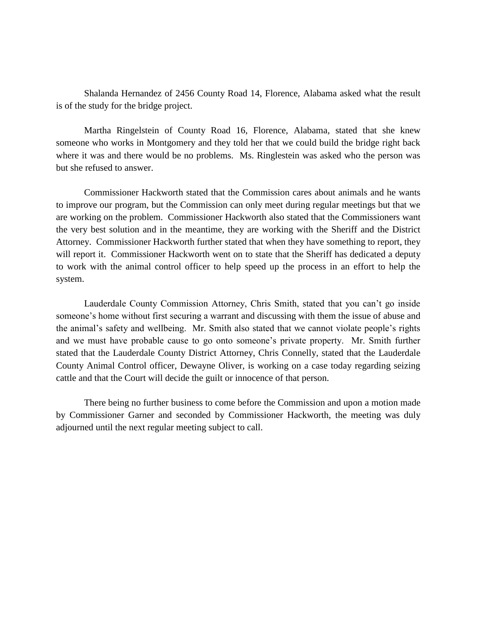Shalanda Hernandez of 2456 County Road 14, Florence, Alabama asked what the result is of the study for the bridge project.

Martha Ringelstein of County Road 16, Florence, Alabama, stated that she knew someone who works in Montgomery and they told her that we could build the bridge right back where it was and there would be no problems. Ms. Ringlestein was asked who the person was but she refused to answer.

Commissioner Hackworth stated that the Commission cares about animals and he wants to improve our program, but the Commission can only meet during regular meetings but that we are working on the problem. Commissioner Hackworth also stated that the Commissioners want the very best solution and in the meantime, they are working with the Sheriff and the District Attorney. Commissioner Hackworth further stated that when they have something to report, they will report it. Commissioner Hackworth went on to state that the Sheriff has dedicated a deputy to work with the animal control officer to help speed up the process in an effort to help the system.

Lauderdale County Commission Attorney, Chris Smith, stated that you can't go inside someone's home without first securing a warrant and discussing with them the issue of abuse and the animal's safety and wellbeing. Mr. Smith also stated that we cannot violate people's rights and we must have probable cause to go onto someone's private property. Mr. Smith further stated that the Lauderdale County District Attorney, Chris Connelly, stated that the Lauderdale County Animal Control officer, Dewayne Oliver, is working on a case today regarding seizing cattle and that the Court will decide the guilt or innocence of that person.

There being no further business to come before the Commission and upon a motion made by Commissioner Garner and seconded by Commissioner Hackworth, the meeting was duly adjourned until the next regular meeting subject to call.